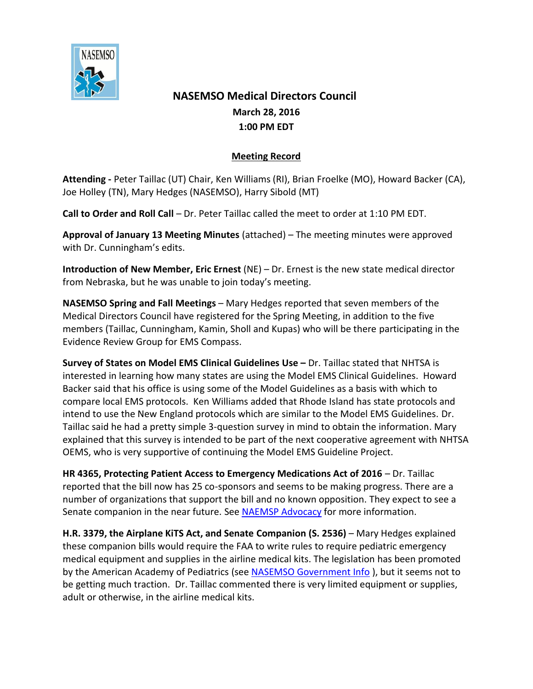

## **NASEMSO Medical Directors Council March 28, 2016 1:00 PM EDT**

## **Meeting Record**

**Attending -** Peter Taillac (UT) Chair, Ken Williams (RI), Brian Froelke (MO), Howard Backer (CA), Joe Holley (TN), Mary Hedges (NASEMSO), Harry Sibold (MT)

**Call to Order and Roll Call** – Dr. Peter Taillac called the meet to order at 1:10 PM EDT.

**Approval of January 13 Meeting Minutes** (attached) – The meeting minutes were approved with Dr. Cunningham's edits.

**Introduction of New Member, Eric Ernest** (NE) – Dr. Ernest is the new state medical director from Nebraska, but he was unable to join today's meeting.

**NASEMSO Spring and Fall Meetings** – Mary Hedges reported that seven members of the Medical Directors Council have registered for the Spring Meeting, in addition to the five members (Taillac, Cunningham, Kamin, Sholl and Kupas) who will be there participating in the Evidence Review Group for EMS Compass.

**Survey of States on Model EMS Clinical Guidelines Use –** Dr. Taillac stated that NHTSA is interested in learning how many states are using the Model EMS Clinical Guidelines. Howard Backer said that his office is using some of the Model Guidelines as a basis with which to compare local EMS protocols. Ken Williams added that Rhode Island has state protocols and intend to use the New England protocols which are similar to the Model EMS Guidelines. Dr. Taillac said he had a pretty simple 3-question survey in mind to obtain the information. Mary explained that this survey is intended to be part of the next cooperative agreement with NHTSA OEMS, who is very supportive of continuing the Model EMS Guideline Project.

**HR 4365, Protecting Patient Access to Emergency Medications Act of 2016 – Dr. Taillac** reported that the bill now has 25 co-sponsors and seems to be making progress. There are a number of organizations that support the bill and no known opposition. They expect to see a Senate companion in the near future. Se[e NAEMSP Advocacy](http://www.naemsp.org/Pages/Advocacy.aspx) for more information.

**H.R. 3379, the Airplane KiTS Act, and Senate Companion (S. 2536)** – Mary Hedges explained these companion bills would require the FAA to write rules to require pediatric emergency medical equipment and supplies in the airline medical kits. The legislation has been promoted by the American Academy of Pediatrics (se[e NASEMSO Government Info](https://www.nasemso.org/Projects/Legislative-Regulatory-Issues.asp) ), but it seems not to be getting much traction. Dr. Taillac commented there is very limited equipment or supplies, adult or otherwise, in the airline medical kits.